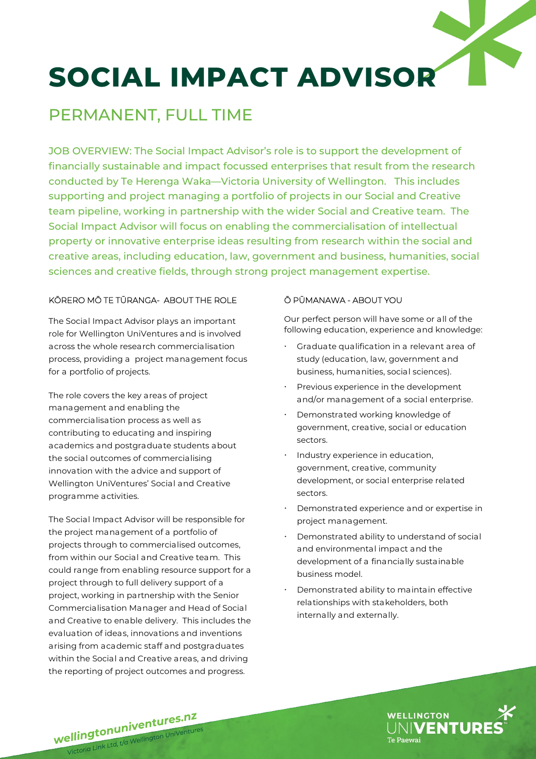# **SOCIAL IMPACT ADVISOR**

### PERMANENT, FULL TIME

JOB OVERVIEW: The Social Impact Advisor's role is to support the development of financially sustainable and impact focussed enterprises that result from the research conducted by Te Herenga Waka—Victoria University of Wellington. This includes supporting and project managing a portfolio of projects in our Social and Creative team pipeline, working in partnership with the wider Social and Creative team. The Social Impact Advisor will focus on enabling the commercialisation of intellectual property or innovative enterprise ideas resulting from research within the social and creative areas, including education, law, government and business, humanities, social sciences and creative fields, through strong project management expertise.

#### KŌRERO MŌ TE TŪRANGA- ABOUT THE ROLE

The Social Impact Advisor plays an important role for Wellington UniVentures and is involved across the whole research commercialisation process, providing a project management focus for a portfolio of projects.

The role covers the key areas of project management and enabling the commercialisation process as well as contributing to educating and inspiring academics and postgraduate students about the social outcomes of commercialising innovation with the advice and support of Wellington UniVentures' Social and Creative programme activities.

The Social Impact Advisor will be responsible for the project management of a portfolio of projects through to commercialised outcomes, from within our Social and Creative team. This could range from enabling resource support for a project through to full delivery support of a project, working in partnership with the Senior Commercialisation Manager and Head of Social and Creative to enable delivery. This includes the evaluation of ideas, innovations and inventions arising from academic staff and postgraduates within the Social and Creative areas, and driving the reporting of project outcomes and progress.

#### Ō PŪMANAWA - ABOUT YOU

Our perfect person will have some or all of the following education, experience and knowledge:

- Graduate qualification in a relevant area of study (education, law, government and business, humanities, social sciences).
- Previous experience in the development and/or management of a social enterprise.
- Demonstrated working knowledge of government, creative, social or education sectors.
- Industry experience in education, government, creative, community development, or social enterprise related sectors.
- Demonstrated experience and or expertise in project management.
- Demonstrated ability to understand of social and environmental impact and the development of a financially sustainable business model.
- Demonstrated ability to maintain effective relationships with stakeholders, both internally and externally.



**wellingtonuniventures.nz**<br>Wellingtonuniventure ellingtonuniventures